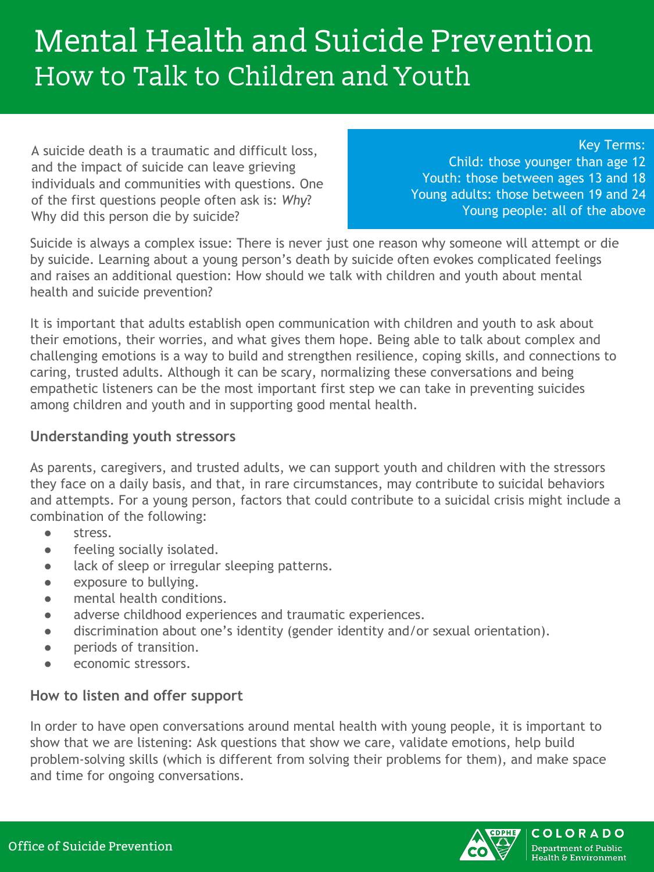# Mental Health and Suicide Prevention How to Talk to Children and Youth

A suicide death is a traumatic and difficult loss, and the impact of suicide can leave grieving individuals and communities with questions. One of the first questions people often ask is: *Why*? Why did this person die by suicide?

Key Terms: Child: those younger than age 12 Youth: those between ages 13 and 18 Young adults: those between 19 and 24 Young people: all of the above

Suicide is always a complex issue: There is never just one reason why someone will attempt or die by suicide. Learning about a young person's death by suicide often evokes complicated feelings and raises an additional question: How should we talk with children and youth about mental health and suicide prevention?

It is important that adults establish open communication with children and youth to ask about their emotions, their worries, and what gives them hope. Being able to talk about complex and challenging emotions is a way to build and strengthen resilience, coping skills, and connections to caring, trusted adults. Although it can be scary, normalizing these conversations and being empathetic listeners can be the most important first step we can take in preventing suicides among children and youth and in supporting good mental health.

### **Understanding youth stressors**

As parents, caregivers, and trusted adults, we can support youth and children with the stressors they face on a daily basis, and that, in rare circumstances, may contribute to suicidal behaviors and attempts. For a young person, factors that could contribute to a suicidal crisis might include a combination of the following:

- stress.
- feeling socially isolated.
- lack of sleep or irregular sleeping patterns.
- exposure to bullying.
- mental health conditions.
- adverse childhood experiences and traumatic experiences.
- discrimination about one's identity (gender identity and/or sexual orientation).
- periods of transition.
- economic stressors.

# **How to listen and offer support**

In order to have open conversations around mental health with young people, it is important to show that we are listening: Ask questions that show we care, validate emotions, help build problem-solving skills (which is different from solving their problems for them), and make space and time for ongoing conversations.

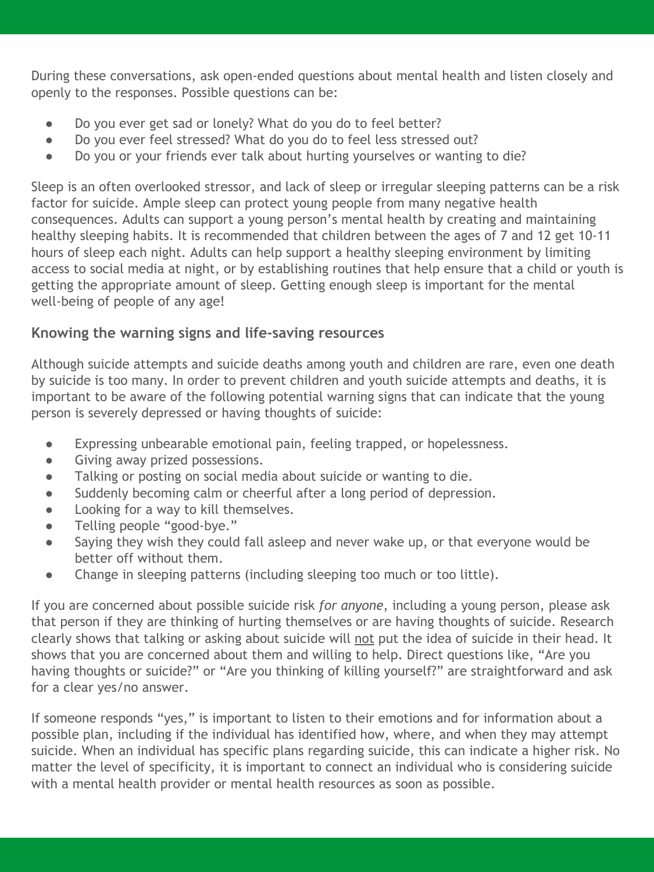During these conversations, ask open-ended questions about mental health and listen closely and openly to the responses. Possible questions can be:

- Do you ever get sad or lonely? What do you do to feel better?
- Do you ever feel stressed? What do you do to feel less stressed out?
- Do you or your friends ever talk about hurting yourselves or wanting to die?

Sleep is an often overlooked stressor, and lack of sleep or irregular sleeping patterns can be a risk factor for suicide. Ample sleep can protect young people from many negative health consequences. Adults can support a young person's mental health by creating and maintaining healthy sleeping habits. It is recommended that children between the ages of 7 and 12 get 10-11 hours of sleep each night. Adults can help support a healthy sleeping environment by limiting access to social media at night, or by establishing routines that help ensure that a child or youth is getting the appropriate amount of sleep. Getting enough sleep is important for the mental well-being of people of any age!

# **Knowing the warning signs and life-saving resources**

Although suicide attempts and suicide deaths among youth and children are rare, even one death by suicide is too many. In order to prevent children and youth suicide attempts and deaths, it is important to be aware of the following potential warning signs that can indicate that the young person is severely depressed or having thoughts of suicide:

- Expressing unbearable emotional pain, feeling trapped, or hopelessness.
- Giving away prized possessions.
- Talking or posting on social media about suicide or wanting to die.
- Suddenly becoming calm or cheerful after a long period of depression.
- Looking for a way to kill themselves.
- Telling people "good-bye."
- Saying they wish they could fall asleep and never wake up, or that everyone would be better off without them.
- Change in sleeping patterns (including sleeping too much or too little).

If you are concerned about possible suicide risk *for anyone*, including a young person, please ask that person if they are thinking of hurting themselves or are having thoughts of suicide. Research clearly shows that talking or asking about suicide will not put the idea of suicide in their head. It shows that you are concerned about them and willing to help. Direct questions like, "Are you having thoughts or suicide?" or "Are you thinking of killing yourself?" are straightforward and ask for a clear yes/no answer.

If someone responds "yes," is important to listen to their emotions and for information about a possible plan, including if the individual has identified how, where, and when they may attempt suicide. When an individual has specific plans regarding suicide, this can indicate a higher risk. No matter the level of specificity, it is important to connect an individual who is considering suicide with a mental health provider or mental health resources as soon as possible.